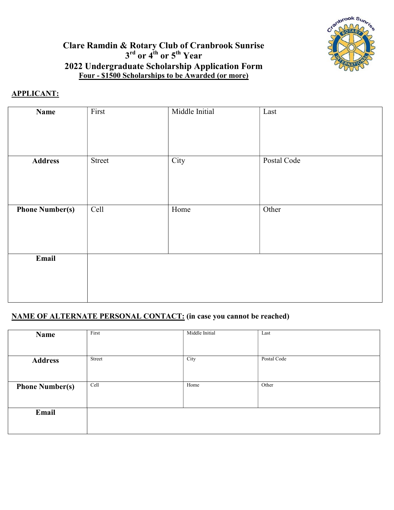

## Clare Ramdin & Rotary Club of Cranbrook Sunrise  $3<sup>rd</sup>$  or  $4<sup>th</sup>$  or  $5<sup>th</sup>$  Year 2022 Undergraduate Scholarship Application Form Four - \$1500 Scholarships to be Awarded (or more)

#### APPLICANT:

| <b>Name</b>            | First  | Middle Initial | Last        |
|------------------------|--------|----------------|-------------|
|                        |        |                |             |
| <b>Address</b>         | Street | City           | Postal Code |
|                        |        |                |             |
| <b>Phone Number(s)</b> | Cell   | Home           | Other       |
|                        |        |                |             |
| Email                  |        |                |             |
|                        |        |                |             |
|                        |        |                |             |

## NAME OF ALTERNATE PERSONAL CONTACT: (in case you cannot be reached)

| Name                   | First  | Middle Initial | Last        |
|------------------------|--------|----------------|-------------|
|                        |        |                |             |
| <b>Address</b>         | Street | City           | Postal Code |
| <b>Phone Number(s)</b> | Cell   | Home           | Other       |
|                        |        |                |             |
| Email                  |        |                |             |
|                        |        |                |             |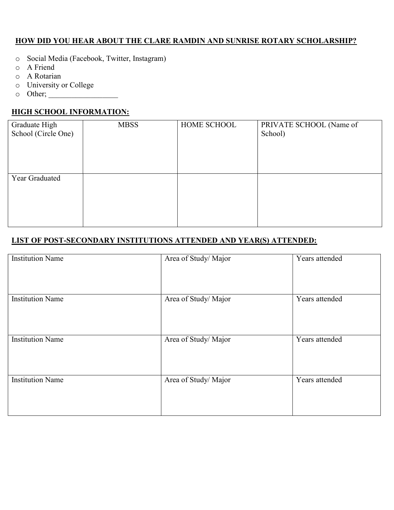#### HOW DID YOU HEAR ABOUT THE CLARE RAMDIN AND SUNRISE ROTARY SCHOLARSHIP?

- o Social Media (Facebook, Twitter, Instagram)
- o A Friend
- o A Rotarian
- o University or College
- o Other; \_\_\_\_\_\_\_\_\_\_\_\_\_\_\_\_\_\_

## HIGH SCHOOL INFORMATION:

| Graduate High<br>School (Circle One) | <b>MBSS</b> | HOME SCHOOL | PRIVATE SCHOOL (Name of<br>School) |
|--------------------------------------|-------------|-------------|------------------------------------|
|                                      |             |             |                                    |
| Year Graduated                       |             |             |                                    |
|                                      |             |             |                                    |
|                                      |             |             |                                    |
|                                      |             |             |                                    |
|                                      |             |             |                                    |

## LIST OF POST-SECONDARY INSTITUTIONS ATTENDED AND YEAR(S) ATTENDED:

| <b>Institution Name</b> | Area of Study/Major | Years attended |
|-------------------------|---------------------|----------------|
| <b>Institution Name</b> | Area of Study/Major | Years attended |
| <b>Institution Name</b> | Area of Study/Major | Years attended |
| <b>Institution Name</b> | Area of Study/Major | Years attended |